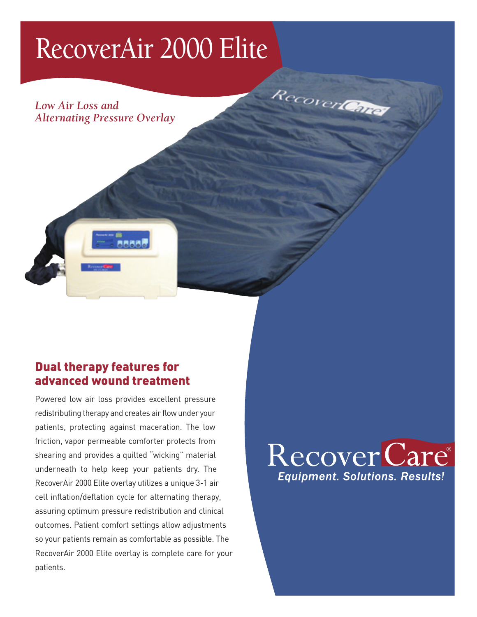## RecoverAir 2000 Elite

*Low Air Loss and Alternating Pressure Overlay*



#### Dual therapy features for advanced wound treatment

Powered low air loss provides excellent pressure redistributing therapy and creates air flow under your patients, protecting against maceration. The low friction, vapor permeable comforter protects from shearing and provides a quilted "wicking" material underneath to help keep your patients dry. The RecoverAir 2000 Elite overlay utilizes a unique 3-1 air cell inflation/deflation cycle for alternating therapy, assuring optimum pressure redistribution and clinical outcomes. Patient comfort settings allow adjustments so your patients remain as comfortable as possible. The RecoverAir 2000 Elite overlay is complete care for your patients.



RecoverLeries